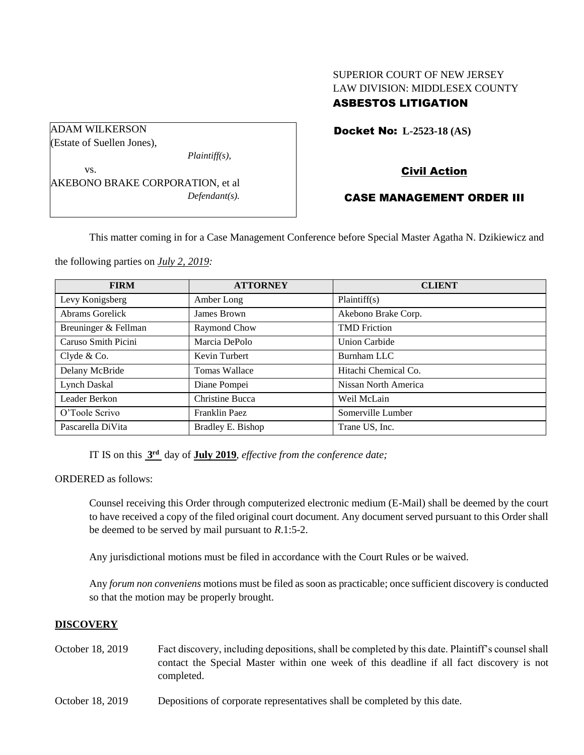# SUPERIOR COURT OF NEW JERSEY LAW DIVISION: MIDDLESEX COUNTY ASBESTOS LITIGATION

Docket No: **L-2523-18 (AS)** 

# Civil Action

## CASE MANAGEMENT ORDER III

This matter coming in for a Case Management Conference before Special Master Agatha N. Dzikiewicz and

the following parties on *July 2, 2019:*

AKEBONO BRAKE CORPORATION, et al

ADAM WILKERSON (Estate of Suellen Jones),

vs.

| <b>FIRM</b>          | <b>ATTORNEY</b>   | <b>CLIENT</b>        |
|----------------------|-------------------|----------------------|
| Levy Konigsberg      | Amber Long        | Plaintiff(s)         |
| Abrams Gorelick      | James Brown       | Akebono Brake Corp.  |
| Breuninger & Fellman | Raymond Chow      | <b>TMD</b> Friction  |
| Caruso Smith Picini  | Marcia DePolo     | <b>Union Carbide</b> |
| Clyde $& Co.$        | Kevin Turbert     | Burnham LLC          |
| Delany McBride       | Tomas Wallace     | Hitachi Chemical Co. |
| Lynch Daskal         | Diane Pompei      | Nissan North America |
| Leader Berkon        | Christine Bucca   | Weil McLain          |
| O'Toole Scrivo       | Franklin Paez     | Somerville Lumber    |
| Pascarella DiVita    | Bradley E. Bishop | Trane US, Inc.       |

IT IS on this **3 rd** day of **July 2019**, *effective from the conference date;*

*Plaintiff(s),*

*Defendant(s).*

ORDERED as follows:

Counsel receiving this Order through computerized electronic medium (E-Mail) shall be deemed by the court to have received a copy of the filed original court document. Any document served pursuant to this Order shall be deemed to be served by mail pursuant to *R*.1:5-2.

Any jurisdictional motions must be filed in accordance with the Court Rules or be waived.

Any *forum non conveniens* motions must be filed as soon as practicable; once sufficient discovery is conducted so that the motion may be properly brought.

#### **DISCOVERY**

- October 18, 2019 Fact discovery, including depositions, shall be completed by this date. Plaintiff's counsel shall contact the Special Master within one week of this deadline if all fact discovery is not completed.
- October 18, 2019 Depositions of corporate representatives shall be completed by this date.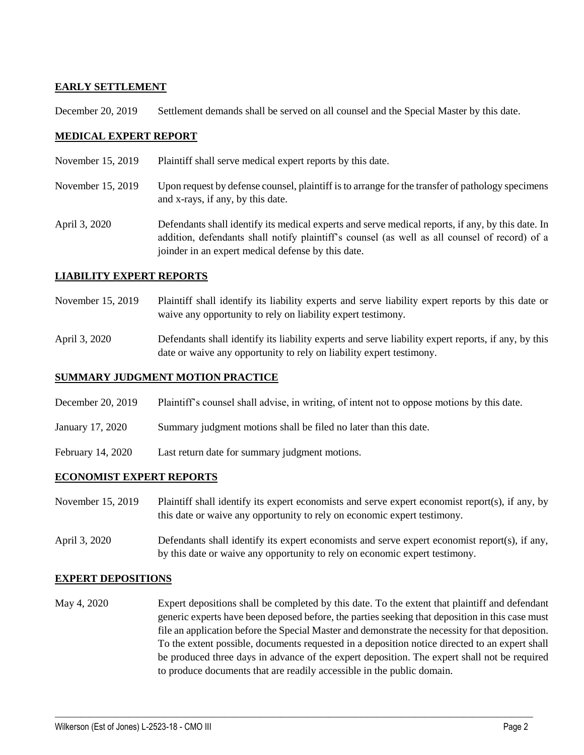# **EARLY SETTLEMENT**

December 20, 2019 Settlement demands shall be served on all counsel and the Special Master by this date.

## **MEDICAL EXPERT REPORT**

- November 15, 2019 Plaintiff shall serve medical expert reports by this date.
- November 15, 2019 Upon request by defense counsel, plaintiff is to arrange for the transfer of pathology specimens and x-rays, if any, by this date.

April 3, 2020 Defendants shall identify its medical experts and serve medical reports, if any, by this date. In addition, defendants shall notify plaintiff's counsel (as well as all counsel of record) of a joinder in an expert medical defense by this date.

### **LIABILITY EXPERT REPORTS**

- November 15, 2019 Plaintiff shall identify its liability experts and serve liability expert reports by this date or waive any opportunity to rely on liability expert testimony.
- April 3, 2020 Defendants shall identify its liability experts and serve liability expert reports, if any, by this date or waive any opportunity to rely on liability expert testimony.

## **SUMMARY JUDGMENT MOTION PRACTICE**

- December 20, 2019 Plaintiff's counsel shall advise, in writing, of intent not to oppose motions by this date.
- January 17, 2020 Summary judgment motions shall be filed no later than this date.
- February 14, 2020 Last return date for summary judgment motions.

#### **ECONOMIST EXPERT REPORTS**

- November 15, 2019 Plaintiff shall identify its expert economists and serve expert economist report(s), if any, by this date or waive any opportunity to rely on economic expert testimony.
- April 3, 2020 Defendants shall identify its expert economists and serve expert economist report(s), if any, by this date or waive any opportunity to rely on economic expert testimony.

#### **EXPERT DEPOSITIONS**

May 4, 2020 Expert depositions shall be completed by this date. To the extent that plaintiff and defendant generic experts have been deposed before, the parties seeking that deposition in this case must file an application before the Special Master and demonstrate the necessity for that deposition. To the extent possible, documents requested in a deposition notice directed to an expert shall be produced three days in advance of the expert deposition. The expert shall not be required to produce documents that are readily accessible in the public domain.

 $\_$  , and the set of the set of the set of the set of the set of the set of the set of the set of the set of the set of the set of the set of the set of the set of the set of the set of the set of the set of the set of th